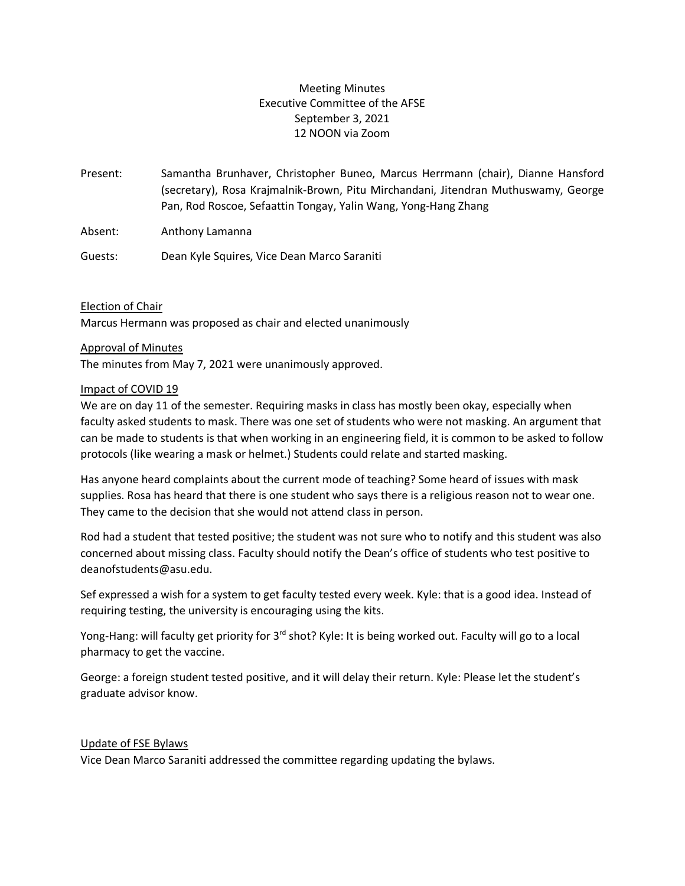## Meeting Minutes Executive Committee of the AFSE September 3, 2021 12 NOON via Zoom

Present: Samantha Brunhaver, Christopher Buneo, Marcus Herrmann (chair), Dianne Hansford (secretary), Rosa Krajmalnik-Brown, Pitu Mirchandani, Jitendran Muthuswamy, George Pan, Rod Roscoe, Sefaattin Tongay, Yalin Wang, Yong-Hang Zhang

Absent: Anthony Lamanna

Guests: Dean Kyle Squires, Vice Dean Marco Saraniti

Election of Chair

Marcus Hermann was proposed as chair and elected unanimously

### Approval of Minutes

The minutes from May 7, 2021 were unanimously approved.

### Impact of COVID 19

We are on day 11 of the semester. Requiring masks in class has mostly been okay, especially when faculty asked students to mask. There was one set of students who were not masking. An argument that can be made to students is that when working in an engineering field, it is common to be asked to follow protocols (like wearing a mask or helmet.) Students could relate and started masking.

Has anyone heard complaints about the current mode of teaching? Some heard of issues with mask supplies. Rosa has heard that there is one student who says there is a religious reason not to wear one. They came to the decision that she would not attend class in person.

Rod had a student that tested positive; the student was not sure who to notify and this student was also concerned about missing class. Faculty should notify the Dean's office of students who test positive to deanofstudents@asu.edu.

Sef expressed a wish for a system to get faculty tested every week. Kyle: that is a good idea. Instead of requiring testing, the university is encouraging using the kits.

Yong-Hang: will faculty get priority for 3<sup>rd</sup> shot? Kyle: It is being worked out. Faculty will go to a local pharmacy to get the vaccine.

George: a foreign student tested positive, and it will delay their return. Kyle: Please let the student's graduate advisor know.

## Update of FSE Bylaws

Vice Dean Marco Saraniti addressed the committee regarding updating the bylaws.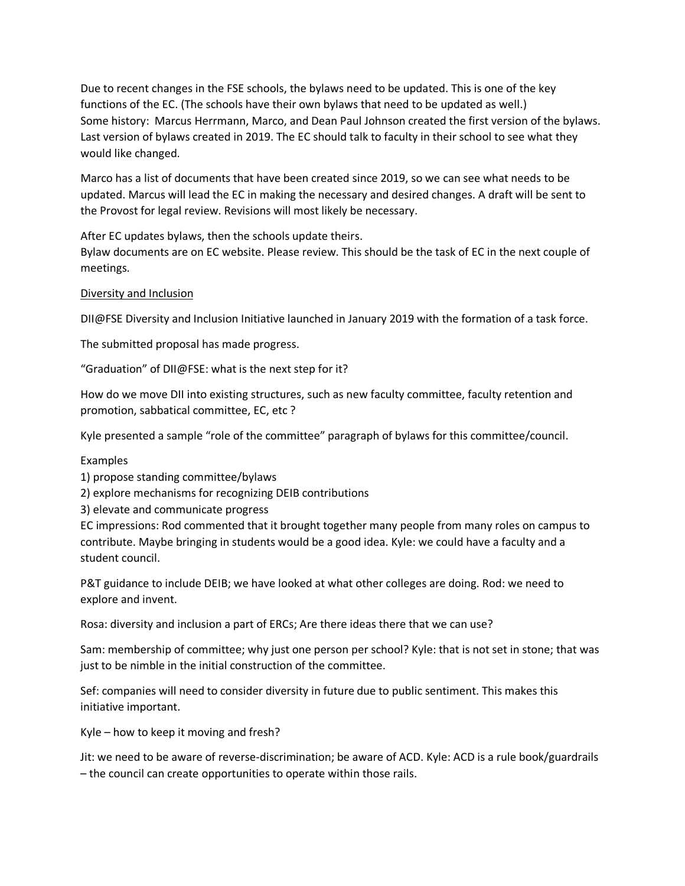Due to recent changes in the FSE schools, the bylaws need to be updated. This is one of the key functions of the EC. (The schools have their own bylaws that need to be updated as well.) Some history: Marcus Herrmann, Marco, and Dean Paul Johnson created the first version of the bylaws. Last version of bylaws created in 2019. The EC should talk to faculty in their school to see what they would like changed.

Marco has a list of documents that have been created since 2019, so we can see what needs to be updated. Marcus will lead the EC in making the necessary and desired changes. A draft will be sent to the Provost for legal review. Revisions will most likely be necessary.

After EC updates bylaws, then the schools update theirs.

Bylaw documents are on EC website. Please review. This should be the task of EC in the next couple of meetings.

### Diversity and Inclusion

DII@FSE Diversity and Inclusion Initiative launched in January 2019 with the formation of a task force.

The submitted proposal has made progress.

"Graduation" of DII@FSE: what is the next step for it?

How do we move DII into existing structures, such as new faculty committee, faculty retention and promotion, sabbatical committee, EC, etc ?

Kyle presented a sample "role of the committee" paragraph of bylaws for this committee/council.

### Examples

1) propose standing committee/bylaws

2) explore mechanisms for recognizing DEIB contributions

3) elevate and communicate progress

EC impressions: Rod commented that it brought together many people from many roles on campus to contribute. Maybe bringing in students would be a good idea. Kyle: we could have a faculty and a student council.

P&T guidance to include DEIB; we have looked at what other colleges are doing. Rod: we need to explore and invent.

Rosa: diversity and inclusion a part of ERCs; Are there ideas there that we can use?

Sam: membership of committee; why just one person per school? Kyle: that is not set in stone; that was just to be nimble in the initial construction of the committee.

Sef: companies will need to consider diversity in future due to public sentiment. This makes this initiative important.

Kyle – how to keep it moving and fresh?

Jit: we need to be aware of reverse-discrimination; be aware of ACD. Kyle: ACD is a rule book/guardrails – the council can create opportunities to operate within those rails.